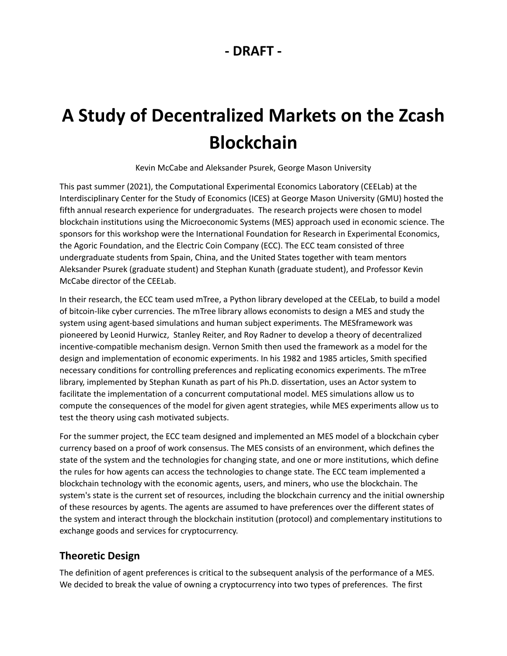# **- DRAFT -**

# **A Study of Decentralized Markets on the Zcash Blockchain**

Kevin McCabe and Aleksander Psurek, George Mason University

This past summer (2021), the Computational Experimental Economics Laboratory (CEELab) at the Interdisciplinary Center for the Study of Economics (ICES) at George Mason University (GMU) hosted the fifth annual research experience for undergraduates. The research projects were chosen to model blockchain institutions using the Microeconomic Systems (MES) approach used in economic science. The sponsors for this workshop were the International Foundation for Research in Experimental Economics, the Agoric Foundation, and the Electric Coin Company (ECC). The ECC team consisted of three undergraduate students from Spain, China, and the United States together with team mentors Aleksander Psurek (graduate student) and Stephan Kunath (graduate student), and Professor Kevin McCabe director of the CEELab.

In their research, the ECC team used mTree, a Python library developed at the CEELab, to build a model of bitcoin-like cyber currencies. The mTree library allows economists to design a MES and study the system using agent-based simulations and human subject experiments. The MESframework was pioneered by Leonid Hurwicz, Stanley Reiter, and Roy Radner to develop a theory of decentralized incentive-compatible mechanism design. Vernon Smith then used the framework as a model for the design and implementation of economic experiments. In his 1982 and 1985 articles, Smith specified necessary conditions for controlling preferences and replicating economics experiments. The mTree library, implemented by Stephan Kunath as part of his Ph.D. dissertation, uses an Actor system to facilitate the implementation of a concurrent computational model. MES simulations allow us to compute the consequences of the model for given agent strategies, while MES experiments allow us to test the theory using cash motivated subjects.

For the summer project, the ECC team designed and implemented an MES model of a blockchain cyber currency based on a proof of work consensus. The MES consists of an environment, which defines the state of the system and the technologies for changing state, and one or more institutions, which define the rules for how agents can access the technologies to change state. The ECC team implemented a blockchain technology with the economic agents, users, and miners, who use the blockchain. The system's state is the current set of resources, including the blockchain currency and the initial ownership of these resources by agents. The agents are assumed to have preferences over the different states of the system and interact through the blockchain institution (protocol) and complementary institutions to exchange goods and services for cryptocurrency.

# **Theoretic Design**

The definition of agent preferences is critical to the subsequent analysis of the performance of a MES. We decided to break the value of owning a cryptocurrency into two types of preferences. The first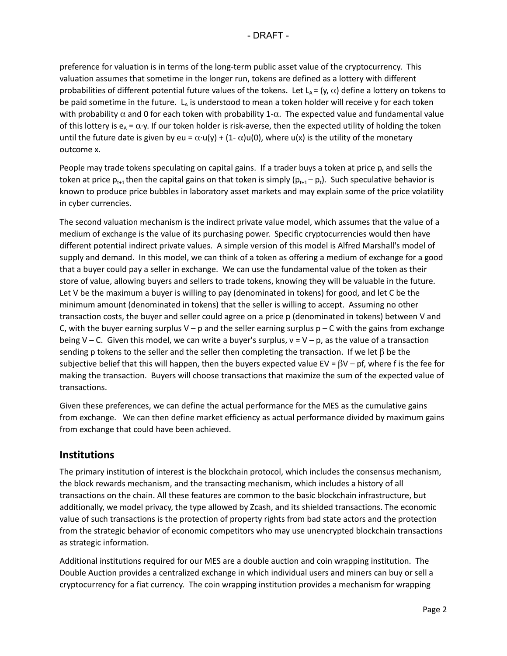preference for valuation is in terms of the long-term public asset value of the cryptocurrency. This valuation assumes that sometime in the longer run, tokens are defined as a lottery with different probabilities of different potential future values of the tokens. Let  $L_A = (y, \alpha)$  define a lottery on tokens to be paid sometime in the future.  $\mathsf{L}_{\mathsf{A}}$  is understood to mean a token holder will receive y for each token with probability  $\alpha$  and 0 for each token with probability 1- $\alpha$ . The expected value and fundamental value of this lottery is  $e_A = \alpha \cdot y$ . If our token holder is risk-averse, then the expected utility of holding the token until the future date is given by eu =  $\alpha \cdot u(y) + (1 - \alpha)u(0)$ , where  $u(x)$  is the utility of the monetary outcome x.

People may trade tokens speculating on capital gains. If a trader buys a token at price  $p_t$  and sells the token at price  $p_{t+1}$  then the capital gains on that token is simply ( $p_{t+1} - p_t$ ). Such speculative behavior is known to produce price bubbles in laboratory asset markets and may explain some of the price volatility in cyber currencies.

The second valuation mechanism is the indirect private value model, which assumes that the value of a medium of exchange is the value of its purchasing power. Specific cryptocurrencies would then have different potential indirect private values. A simple version of this model is Alfred Marshall's model of supply and demand. In this model, we can think of a token as offering a medium of exchange for a good that a buyer could pay a seller in exchange. We can use the fundamental value of the token as their store of value, allowing buyers and sellers to trade tokens, knowing they will be valuable in the future. Let V be the maximum a buyer is willing to pay (denominated in tokens) for good, and let C be the minimum amount (denominated in tokens) that the seller is willing to accept. Assuming no other transaction costs, the buyer and seller could agree on a price p (denominated in tokens) between V and C, with the buyer earning surplus V – p and the seller earning surplus  $p - C$  with the gains from exchange being V – C. Given this model, we can write a buyer's surplus,  $v = V - p$ , as the value of a transaction sending p tokens to the seller and the seller then completing the transaction. If we let  $\beta$  be the subjective belief that this will happen, then the buyers expected value EV =  $\beta V$  – pf, where f is the fee for making the transaction. Buyers will choose transactions that maximize the sum of the expected value of transactions.

Given these preferences, we can define the actual performance for the MES as the cumulative gains from exchange. We can then define market efficiency as actual performance divided by maximum gains from exchange that could have been achieved.

# **Institutions**

The primary institution of interest is the blockchain protocol, which includes the consensus mechanism, the block rewards mechanism, and the transacting mechanism, which includes a history of all transactions on the chain. All these features are common to the basic blockchain infrastructure, but additionally, we model privacy, the type allowed by Zcash, and its shielded transactions. The economic value of such transactions is the protection of property rights from bad state actors and the protection from the strategic behavior of economic competitors who may use unencrypted blockchain transactions as strategic information.

Additional institutions required for our MES are a double auction and coin wrapping institution. The Double Auction provides a centralized exchange in which individual users and miners can buy or sell a cryptocurrency for a fiat currency. The coin wrapping institution provides a mechanism for wrapping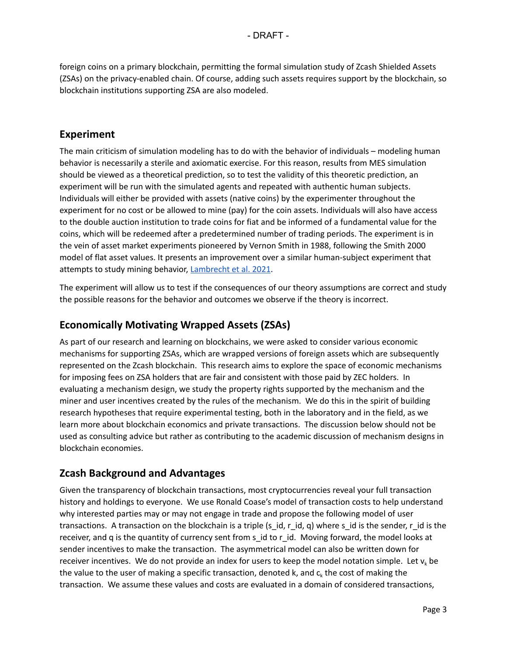foreign coins on a primary blockchain, permitting the formal simulation study of Zcash Shielded Assets (ZSAs) on the privacy-enabled chain. Of course, adding such assets requires support by the blockchain, so blockchain institutions supporting ZSA are also modeled.

#### **Experiment**

The main criticism of simulation modeling has to do with the behavior of individuals – modeling human behavior is necessarily a sterile and axiomatic exercise. For this reason, results from MES simulation should be viewed as a theoretical prediction, so to test the validity of this theoretic prediction, an experiment will be run with the simulated agents and repeated with authentic human subjects. Individuals will either be provided with assets (native coins) by the experimenter throughout the experiment for no cost or be allowed to mine (pay) for the coin assets. Individuals will also have access to the double auction institution to trade coins for fiat and be informed of a fundamental value for the coins, which will be redeemed after a predetermined number of trading periods. The experiment is in the vein of asset market experiments pioneered by Vernon Smith in 1988, following the Smith 2000 model of flat asset values. It presents an improvement over a similar human-subject experiment that attempts to study mining behavior, [Lambrecht](https://www.econstor.eu/bitstream/10419/235026/1/1759863653.pdf) et al. 2021.

The experiment will allow us to test if the consequences of our theory assumptions are correct and study the possible reasons for the behavior and outcomes we observe if the theory is incorrect.

## **Economically Motivating Wrapped Assets (ZSAs)**

As part of our research and learning on blockchains, we were asked to consider various economic mechanisms for supporting ZSAs, which are wrapped versions of foreign assets which are subsequently represented on the Zcash blockchain. This research aims to explore the space of economic mechanisms for imposing fees on ZSA holders that are fair and consistent with those paid by ZEC holders. In evaluating a mechanism design, we study the property rights supported by the mechanism and the miner and user incentives created by the rules of the mechanism. We do this in the spirit of building research hypotheses that require experimental testing, both in the laboratory and in the field, as we learn more about blockchain economics and private transactions. The discussion below should not be used as consulting advice but rather as contributing to the academic discussion of mechanism designs in blockchain economies.

## **Zcash Background and Advantages**

Given the transparency of blockchain transactions, most cryptocurrencies reveal your full transaction history and holdings to everyone. We use Ronald Coase's model of transaction costs to help understand why interested parties may or may not engage in trade and propose the following model of user transactions. A transaction on the blockchain is a triple (s\_id, r\_id, q) where s\_id is the sender, r\_id is the receiver, and q is the quantity of currency sent from s\_id to r\_id. Moving forward, the model looks at sender incentives to make the transaction. The asymmetrical model can also be written down for receiver incentives. We do not provide an index for users to keep the model notation simple. Let  $v_k$  be the value to the user of making a specific transaction, denoted k, and  $c_k$  the cost of making the transaction. We assume these values and costs are evaluated in a domain of considered transactions,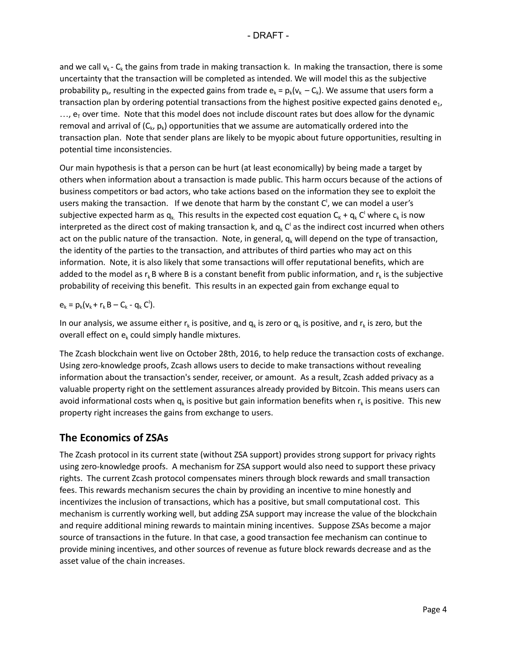and we call  $v_k$  - C<sub>k</sub> the gains from trade in making transaction k. In making the transaction, there is some uncertainty that the transaction will be completed as intended. We will model this as the subjective probability  $p_k$ , resulting in the expected gains from trade  $e_k = p_k(v_k - C_k)$ . We assume that users form a transaction plan by ordering potential transactions from the highest positive expected gains denoted  ${\sf e}_{\sf \scriptscriptstyle 1}$ ,  $...,$   $e_T$  over time. Note that this model does not include discount rates but does allow for the dynamic removal and arrival of ( $C_{k}$ ,  $p_{k}$ ) opportunities that we assume are automatically ordered into the transaction plan. Note that sender plans are likely to be myopic about future opportunities, resulting in potential time inconsistencies.

Our main hypothesis is that a person can be hurt (at least economically) by being made a target by others when information about a transaction is made public. This harm occurs because of the actions of business competitors or bad actors, who take actions based on the information they see to exploit the users making the transaction. If we denote that harm by the constant  $C'$ , we can model a user's subjective expected harm as  ${\sf q}_\kappa$  This results in the expected cost equation  ${\sf C}_\kappa+{\sf q}_\kappa$  C' where  ${\sf c}_\kappa$  is now interpreted as the direct cost of making transaction k, and  $q_k$  C' as the indirect cost incurred when others act on the public nature of the transaction. Note, in general,  $q_k$  will depend on the type of transaction, the identity of the parties to the transaction, and attributes of third parties who may act on this information. Note, it is also likely that some transactions will offer reputational benefits, which are added to the model as  $r_k$ B where B is a constant benefit from public information, and  $r_k$  is the subjective probability of receiving this benefit. This results in an expected gain from exchange equal to

$$
\mathbf{e}_k = \mathbf{p}_k (\mathbf{v}_k + \mathbf{r}_k \mathbf{B} - \mathbf{C}_k - \mathbf{q}_k \mathbf{C}^t).
$$

In our analysis, we assume either  $r_k$  is positive, and  $q_k$  is zero or  $q_k$  is positive, and  $r_k$  is zero, but the overall effect on  $e_k$  could simply handle mixtures.

The Zcash blockchain went live on October 28th, 2016, to help reduce the transaction costs of exchange. Using zero-knowledge proofs, Zcash allows users to decide to make transactions without revealing information about the transaction's sender, receiver, or amount. As a result, Zcash added privacy as a valuable property right on the settlement assurances already provided by Bitcoin. This means users can avoid informational costs when  $q_k$  is positive but gain information benefits when  $r_k$  is positive. This new property right increases the gains from exchange to users.

# **The Economics of ZSAs**

The Zcash protocol in its current state (without ZSA support) provides strong support for privacy rights using zero-knowledge proofs. A mechanism for ZSA support would also need to support these privacy rights. The current Zcash protocol compensates miners through block rewards and small transaction fees. This rewards mechanism secures the chain by providing an incentive to mine honestly and incentivizes the inclusion of transactions, which has a positive, but small computational cost. This mechanism is currently working well, but adding ZSA support may increase the value of the blockchain and require additional mining rewards to maintain mining incentives. Suppose ZSAs become a major source of transactions in the future. In that case, a good transaction fee mechanism can continue to provide mining incentives, and other sources of revenue as future block rewards decrease and as the asset value of the chain increases.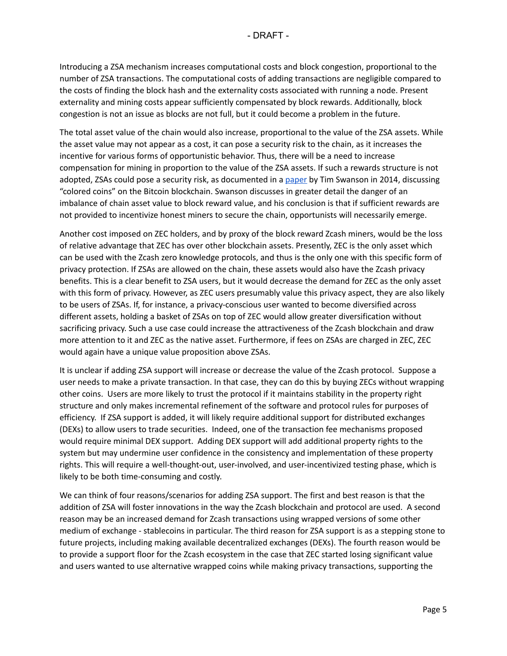Introducing a ZSA mechanism increases computational costs and block congestion, proportional to the number of ZSA transactions. The computational costs of adding transactions are negligible compared to the costs of finding the block hash and the externality costs associated with running a node. Present externality and mining costs appear sufficiently compensated by block rewards. Additionally, block congestion is not an issue as blocks are not full, but it could become a problem in the future.

The total asset value of the chain would also increase, proportional to the value of the ZSA assets. While the asset value may not appear as a cost, it can pose a security risk to the chain, as it increases the incentive for various forms of opportunistic behavior. Thus, there will be a need to increase compensation for mining in proportion to the value of the ZSA assets. If such a rewards structure is not adopted, ZSAs could pose a security risk, as documented in a [paper](http://www.ofnumbers.com/wp-content/uploads/2014/05/Will-colored-coin-extensibility-throw-a-wrench-into-the-automated-information-security-costs-of-Bitcoin.pdf) by Tim Swanson in 2014, discussing "colored coins" on the Bitcoin blockchain. Swanson discusses in greater detail the danger of an imbalance of chain asset value to block reward value, and his conclusion is that if sufficient rewards are not provided to incentivize honest miners to secure the chain, opportunists will necessarily emerge.

Another cost imposed on ZEC holders, and by proxy of the block reward Zcash miners, would be the loss of relative advantage that ZEC has over other blockchain assets. Presently, ZEC is the only asset which can be used with the Zcash zero knowledge protocols, and thus is the only one with this specific form of privacy protection. If ZSAs are allowed on the chain, these assets would also have the Zcash privacy benefits. This is a clear benefit to ZSA users, but it would decrease the demand for ZEC as the only asset with this form of privacy. However, as ZEC users presumably value this privacy aspect, they are also likely to be users of ZSAs. If, for instance, a privacy-conscious user wanted to become diversified across different assets, holding a basket of ZSAs on top of ZEC would allow greater diversification without sacrificing privacy. Such a use case could increase the attractiveness of the Zcash blockchain and draw more attention to it and ZEC as the native asset. Furthermore, if fees on ZSAs are charged in ZEC, ZEC would again have a unique value proposition above ZSAs.

It is unclear if adding ZSA support will increase or decrease the value of the Zcash protocol. Suppose a user needs to make a private transaction. In that case, they can do this by buying ZECs without wrapping other coins. Users are more likely to trust the protocol if it maintains stability in the property right structure and only makes incremental refinement of the software and protocol rules for purposes of efficiency. If ZSA support is added, it will likely require additional support for distributed exchanges (DEXs) to allow users to trade securities. Indeed, one of the transaction fee mechanisms proposed would require minimal DEX support. Adding DEX support will add additional property rights to the system but may undermine user confidence in the consistency and implementation of these property rights. This will require a well-thought-out, user-involved, and user-incentivized testing phase, which is likely to be both time-consuming and costly.

We can think of four reasons/scenarios for adding ZSA support. The first and best reason is that the addition of ZSA will foster innovations in the way the Zcash blockchain and protocol are used. A second reason may be an increased demand for Zcash transactions using wrapped versions of some other medium of exchange - stablecoins in particular. The third reason for ZSA support is as a stepping stone to future projects, including making available decentralized exchanges (DEXs). The fourth reason would be to provide a support floor for the Zcash ecosystem in the case that ZEC started losing significant value and users wanted to use alternative wrapped coins while making privacy transactions, supporting the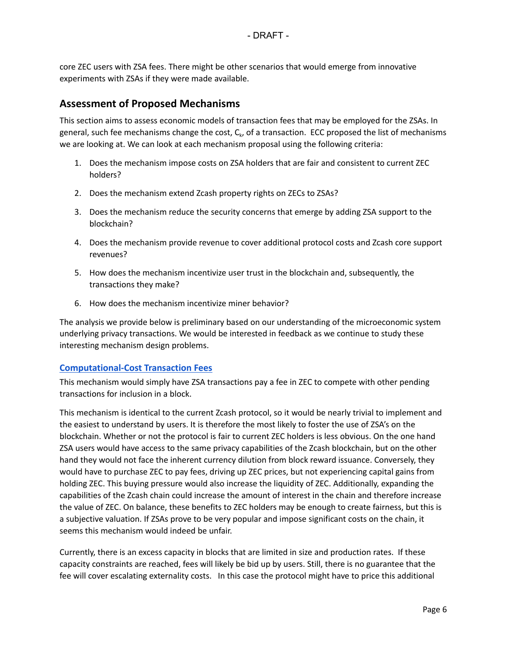core ZEC users with ZSA fees. There might be other scenarios that would emerge from innovative experiments with ZSAs if they were made available.

### **Assessment of Proposed Mechanisms**

This section aims to assess economic models of transaction fees that may be employed for the ZSAs. In general, such fee mechanisms change the cost,  $C_{k}$ , of a transaction. ECC proposed the list of mechanisms we are looking at. We can look at each mechanism proposal using the following criteria:

- 1. Does the mechanism impose costs on ZSA holders that are fair and consistent to current ZEC holders?
- 2. Does the mechanism extend Zcash property rights on ZECs to ZSAs?
- 3. Does the mechanism reduce the security concerns that emerge by adding ZSA support to the blockchain?
- 4. Does the mechanism provide revenue to cover additional protocol costs and Zcash core support revenues?
- 5. How does the mechanism incentivize user trust in the blockchain and, subsequently, the transactions they make?
- 6. How does the mechanism incentivize miner behavior?

The analysis we provide below is preliminary based on our understanding of the microeconomic system underlying privacy transactions. We would be interested in feedback as we continue to study these interesting mechanism design problems.

#### <span id="page-5-0"></span>**[Computational-Cost Transaction Fees](#page-12-0)**

This mechanism would simply have ZSA transactions pay a fee in ZEC to compete with other pending transactions for inclusion in a block.

This mechanism is identical to the current Zcash protocol, so it would be nearly trivial to implement and the easiest to understand by users. It is therefore the most likely to foster the use of ZSA's on the blockchain. Whether or not the protocol is fair to current ZEC holders is less obvious. On the one hand ZSA users would have access to the same privacy capabilities of the Zcash blockchain, but on the other hand they would not face the inherent currency dilution from block reward issuance. Conversely, they would have to purchase ZEC to pay fees, driving up ZEC prices, but not experiencing capital gains from holding ZEC. This buying pressure would also increase the liquidity of ZEC. Additionally, expanding the capabilities of the Zcash chain could increase the amount of interest in the chain and therefore increase the value of ZEC. On balance, these benefits to ZEC holders may be enough to create fairness, but this is a subjective valuation. If ZSAs prove to be very popular and impose significant costs on the chain, it seems this mechanism would indeed be unfair.

Currently, there is an excess capacity in blocks that are limited in size and production rates. If these capacity constraints are reached, fees will likely be bid up by users. Still, there is no guarantee that the fee will cover escalating externality costs. In this case the protocol might have to price this additional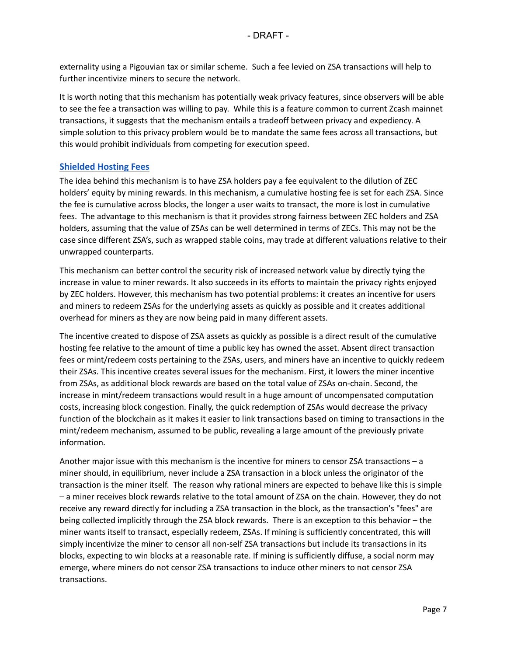externality using a Pigouvian tax or similar scheme. Such a fee levied on ZSA transactions will help to further incentivize miners to secure the network.

It is worth noting that this mechanism has potentially weak privacy features, since observers will be able to see the fee a transaction was willing to pay. While this is a feature common to current Zcash mainnet transactions, it suggests that the mechanism entails a tradeoff between privacy and expediency. A simple solution to this privacy problem would be to mandate the same fees across all transactions, but this would prohibit individuals from competing for execution speed.

#### <span id="page-6-0"></span>**[Shielded Hosting Fees](#page-12-1)**

The idea behind this mechanism is to have ZSA holders pay a fee equivalent to the dilution of ZEC holders' equity by mining rewards. In this mechanism, a cumulative hosting fee is set for each ZSA. Since the fee is cumulative across blocks, the longer a user waits to transact, the more is lost in cumulative fees. The advantage to this mechanism is that it provides strong fairness between ZEC holders and ZSA holders, assuming that the value of ZSAs can be well determined in terms of ZECs. This may not be the case since different ZSA's, such as wrapped stable coins, may trade at different valuations relative to their unwrapped counterparts.

This mechanism can better control the security risk of increased network value by directly tying the increase in value to miner rewards. It also succeeds in its efforts to maintain the privacy rights enjoyed by ZEC holders. However, this mechanism has two potential problems: it creates an incentive for users and miners to redeem ZSAs for the underlying assets as quickly as possible and it creates additional overhead for miners as they are now being paid in many different assets.

The incentive created to dispose of ZSA assets as quickly as possible is a direct result of the cumulative hosting fee relative to the amount of time a public key has owned the asset. Absent direct transaction fees or mint/redeem costs pertaining to the ZSAs, users, and miners have an incentive to quickly redeem their ZSAs. This incentive creates several issues for the mechanism. First, it lowers the miner incentive from ZSAs, as additional block rewards are based on the total value of ZSAs on-chain. Second, the increase in mint/redeem transactions would result in a huge amount of uncompensated computation costs, increasing block congestion. Finally, the quick redemption of ZSAs would decrease the privacy function of the blockchain as it makes it easier to link transactions based on timing to transactions in the mint/redeem mechanism, assumed to be public, revealing a large amount of the previously private information.

Another major issue with this mechanism is the incentive for miners to censor ZSA transactions – a miner should, in equilibrium, never include a ZSA transaction in a block unless the originator of the transaction is the miner itself. The reason why rational miners are expected to behave like this is simple – a miner receives block rewards relative to the total amount of ZSA on the chain. However, they do not receive any reward directly for including a ZSA transaction in the block, as the transaction's "fees" are being collected implicitly through the ZSA block rewards. There is an exception to this behavior – the miner wants itself to transact, especially redeem, ZSAs. If mining is sufficiently concentrated, this will simply incentivize the miner to censor all non-self ZSA transactions but include its transactions in its blocks, expecting to win blocks at a reasonable rate. If mining is sufficiently diffuse, a social norm may emerge, where miners do not censor ZSA transactions to induce other miners to not censor ZSA transactions.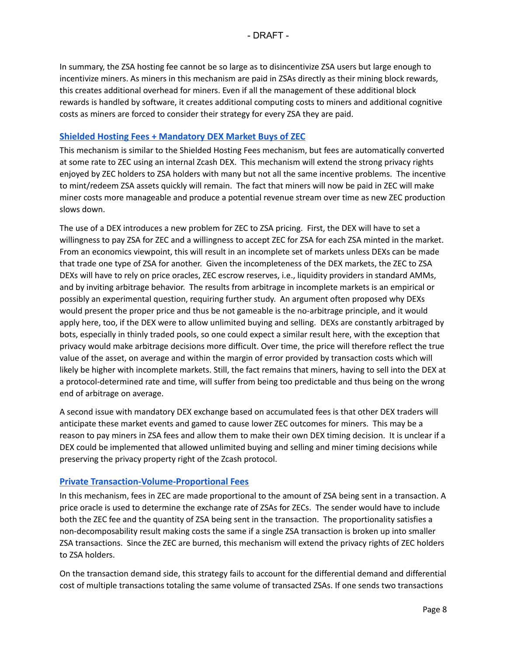In summary, the ZSA hosting fee cannot be so large as to disincentivize ZSA users but large enough to incentivize miners. As miners in this mechanism are paid in ZSAs directly as their mining block rewards, this creates additional overhead for miners. Even if all the management of these additional block rewards is handled by software, it creates additional computing costs to miners and additional cognitive costs as miners are forced to consider their strategy for every ZSA they are paid.

#### <span id="page-7-0"></span>**[Shielded Hosting Fees + Mandatory DEX Market Buys of ZEC](#page-13-0)**

This mechanism is similar to the Shielded Hosting Fees mechanism, but fees are automatically converted at some rate to ZEC using an internal Zcash DEX. This mechanism will extend the strong privacy rights enjoyed by ZEC holders to ZSA holders with many but not all the same incentive problems. The incentive to mint/redeem ZSA assets quickly will remain. The fact that miners will now be paid in ZEC will make miner costs more manageable and produce a potential revenue stream over time as new ZEC production slows down.

The use of a DEX introduces a new problem for ZEC to ZSA pricing. First, the DEX will have to set a willingness to pay ZSA for ZEC and a willingness to accept ZEC for ZSA for each ZSA minted in the market. From an economics viewpoint, this will result in an incomplete set of markets unless DEXs can be made that trade one type of ZSA for another. Given the incompleteness of the DEX markets, the ZEC to ZSA DEXs will have to rely on price oracles, ZEC escrow reserves, i.e., liquidity providers in standard AMMs, and by inviting arbitrage behavior. The results from arbitrage in incomplete markets is an empirical or possibly an experimental question, requiring further study. An argument often proposed why DEXs would present the proper price and thus be not gameable is the no-arbitrage principle, and it would apply here, too, if the DEX were to allow unlimited buying and selling. DEXs are constantly arbitraged by bots, especially in thinly traded pools, so one could expect a similar result here, with the exception that privacy would make arbitrage decisions more difficult. Over time, the price will therefore reflect the true value of the asset, on average and within the margin of error provided by transaction costs which will likely be higher with incomplete markets. Still, the fact remains that miners, having to sell into the DEX at a protocol-determined rate and time, will suffer from being too predictable and thus being on the wrong end of arbitrage on average.

A second issue with mandatory DEX exchange based on accumulated fees is that other DEX traders will anticipate these market events and gamed to cause lower ZEC outcomes for miners. This may be a reason to pay miners in ZSA fees and allow them to make their own DEX timing decision. It is unclear if a DEX could be implemented that allowed unlimited buying and selling and miner timing decisions while preserving the privacy property right of the Zcash protocol.

#### <span id="page-7-1"></span>**[Private Transaction-Volume-Proportional Fees](#page-13-1)**

In this mechanism, fees in ZEC are made proportional to the amount of ZSA being sent in a transaction. A price oracle is used to determine the exchange rate of ZSAs for ZECs. The sender would have to include both the ZEC fee and the quantity of ZSA being sent in the transaction. The proportionality satisfies a non-decomposability result making costs the same if a single ZSA transaction is broken up into smaller ZSA transactions. Since the ZEC are burned, this mechanism will extend the privacy rights of ZEC holders to ZSA holders.

On the transaction demand side, this strategy fails to account for the differential demand and differential cost of multiple transactions totaling the same volume of transacted ZSAs. If one sends two transactions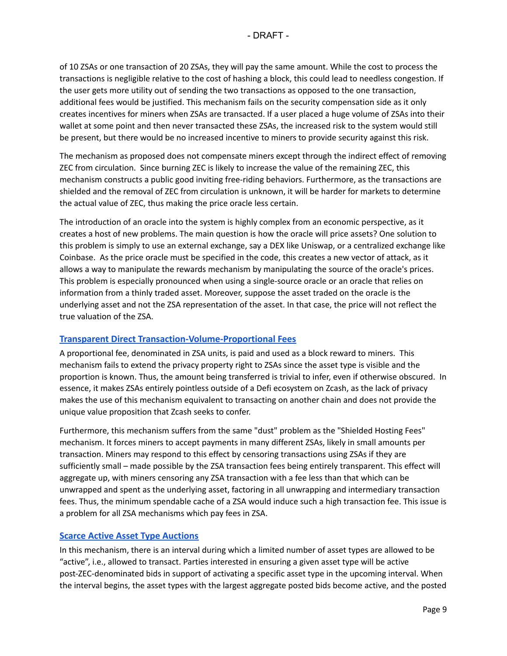of 10 ZSAs or one transaction of 20 ZSAs, they will pay the same amount. While the cost to process the transactions is negligible relative to the cost of hashing a block, this could lead to needless congestion. If the user gets more utility out of sending the two transactions as opposed to the one transaction, additional fees would be justified. This mechanism fails on the security compensation side as it only creates incentives for miners when ZSAs are transacted. If a user placed a huge volume of ZSAs into their wallet at some point and then never transacted these ZSAs, the increased risk to the system would still be present, but there would be no increased incentive to miners to provide security against this risk.

The mechanism as proposed does not compensate miners except through the indirect effect of removing ZEC from circulation. Since burning ZEC is likely to increase the value of the remaining ZEC, this mechanism constructs a public good inviting free-riding behaviors. Furthermore, as the transactions are shielded and the removal of ZEC from circulation is unknown, it will be harder for markets to determine the actual value of ZEC, thus making the price oracle less certain.

The introduction of an oracle into the system is highly complex from an economic perspective, as it creates a host of new problems. The main question is how the oracle will price assets? One solution to this problem is simply to use an external exchange, say a DEX like Uniswap, or a centralized exchange like Coinbase. As the price oracle must be specified in the code, this creates a new vector of attack, as it allows a way to manipulate the rewards mechanism by manipulating the source of the oracle's prices. This problem is especially pronounced when using a single-source oracle or an oracle that relies on information from a thinly traded asset. Moreover, suppose the asset traded on the oracle is the underlying asset and not the ZSA representation of the asset. In that case, the price will not reflect the true valuation of the ZSA.

#### <span id="page-8-0"></span>**[Transparent Direct Transaction-Volume-Proportional Fees](#page-14-0)**

A proportional fee, denominated in ZSA units, is paid and used as a block reward to miners. This mechanism fails to extend the privacy property right to ZSAs since the asset type is visible and the proportion is known. Thus, the amount being transferred is trivial to infer, even if otherwise obscured. In essence, it makes ZSAs entirely pointless outside of a Defi ecosystem on Zcash, as the lack of privacy makes the use of this mechanism equivalent to transacting on another chain and does not provide the unique value proposition that Zcash seeks to confer.

Furthermore, this mechanism suffers from the same "dust" problem as the "Shielded Hosting Fees" mechanism. It forces miners to accept payments in many different ZSAs, likely in small amounts per transaction. Miners may respond to this effect by censoring transactions using ZSAs if they are sufficiently small – made possible by the ZSA transaction fees being entirely transparent. This effect will aggregate up, with miners censoring any ZSA transaction with a fee less than that which can be unwrapped and spent as the underlying asset, factoring in all unwrapping and intermediary transaction fees. Thus, the minimum spendable cache of a ZSA would induce such a high transaction fee. This issue is a problem for all ZSA mechanisms which pay fees in ZSA.

#### <span id="page-8-1"></span>**[Scarce Active Asset Type Auctions](#page-14-1)**

In this mechanism, there is an interval during which a limited number of asset types are allowed to be "active", i.e., allowed to transact. Parties interested in ensuring a given asset type will be active post-ZEC-denominated bids in support of activating a specific asset type in the upcoming interval. When the interval begins, the asset types with the largest aggregate posted bids become active, and the posted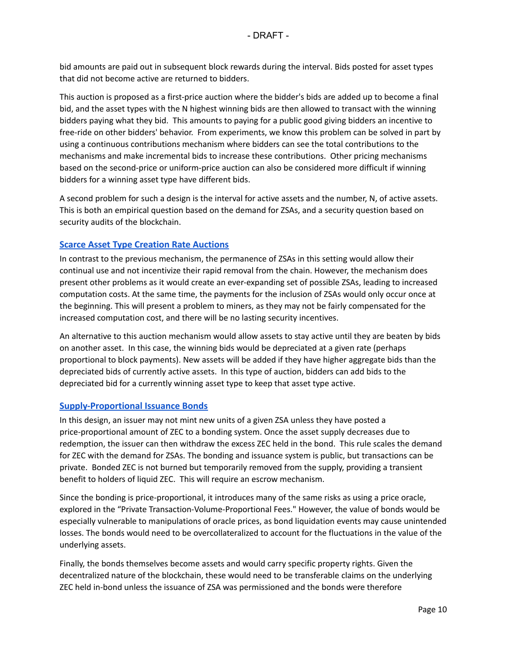bid amounts are paid out in subsequent block rewards during the interval. Bids posted for asset types that did not become active are returned to bidders.

This auction is proposed as a first-price auction where the bidder's bids are added up to become a final bid, and the asset types with the N highest winning bids are then allowed to transact with the winning bidders paying what they bid. This amounts to paying for a public good giving bidders an incentive to free-ride on other bidders' behavior. From experiments, we know this problem can be solved in part by using a continuous contributions mechanism where bidders can see the total contributions to the mechanisms and make incremental bids to increase these contributions. Other pricing mechanisms based on the second-price or uniform-price auction can also be considered more difficult if winning bidders for a winning asset type have different bids.

A second problem for such a design is the interval for active assets and the number, N, of active assets. This is both an empirical question based on the demand for ZSAs, and a security question based on security audits of the blockchain.

#### <span id="page-9-0"></span>**[Scarce Asset Type Creation Rate Auctions](#page-15-0)**

In contrast to the previous mechanism, the permanence of ZSAs in this setting would allow their continual use and not incentivize their rapid removal from the chain. However, the mechanism does present other problems as it would create an ever-expanding set of possible ZSAs, leading to increased computation costs. At the same time, the payments for the inclusion of ZSAs would only occur once at the beginning. This will present a problem to miners, as they may not be fairly compensated for the increased computation cost, and there will be no lasting security incentives.

An alternative to this auction mechanism would allow assets to stay active until they are beaten by bids on another asset. In this case, the winning bids would be depreciated at a given rate (perhaps proportional to block payments). New assets will be added if they have higher aggregate bids than the depreciated bids of currently active assets. In this type of auction, bidders can add bids to the depreciated bid for a currently winning asset type to keep that asset type active.

#### <span id="page-9-1"></span>**[Supply-Proportional Issuance Bonds](#page-15-1)**

In this design, an issuer may not mint new units of a given ZSA unless they have posted a price-proportional amount of ZEC to a bonding system. Once the asset supply decreases due to redemption, the issuer can then withdraw the excess ZEC held in the bond. This rule scales the demand for ZEC with the demand for ZSAs. The bonding and issuance system is public, but transactions can be private. Bonded ZEC is not burned but temporarily removed from the supply, providing a transient benefit to holders of liquid ZEC. This will require an escrow mechanism.

Since the bonding is price-proportional, it introduces many of the same risks as using a price oracle, explored in the "Private Transaction-Volume-Proportional Fees." However, the value of bonds would be especially vulnerable to manipulations of oracle prices, as bond liquidation events may cause unintended losses. The bonds would need to be overcollateralized to account for the fluctuations in the value of the underlying assets.

Finally, the bonds themselves become assets and would carry specific property rights. Given the decentralized nature of the blockchain, these would need to be transferable claims on the underlying ZEC held in-bond unless the issuance of ZSA was permissioned and the bonds were therefore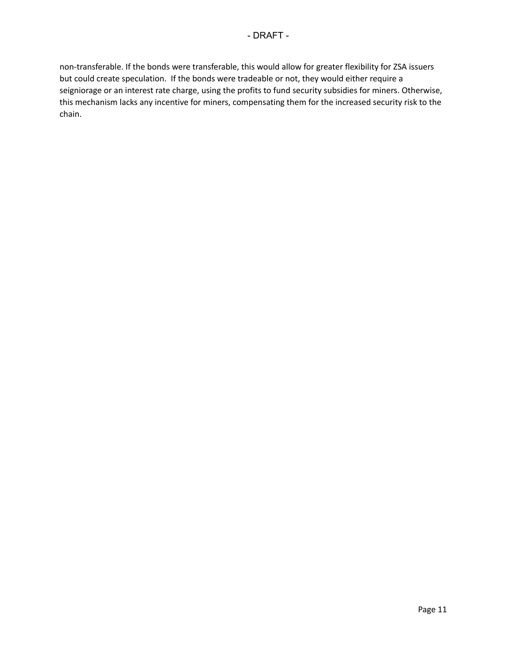non-transferable. If the bonds were transferable, this would allow for greater flexibility for ZSA issuers but could create speculation. If the bonds were tradeable or not, they would either require a seigniorage or an interest rate charge, using the profits to fund security subsidies for miners. Otherwise, this mechanism lacks any incentive for miners, compensating them for the increased security risk to the chain.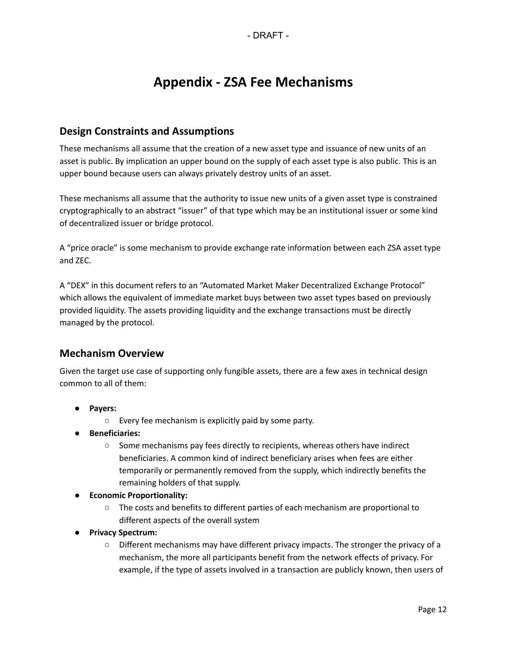# **Appendix - ZSA Fee Mechanisms**

# **Design Constraints and Assumptions**

These mechanisms all assume that the creation of a new asset type and issuance of new units of an asset is public. By implication an upper bound on the supply of each asset type is also public. This is an upper bound because users can always privately destroy units of an asset.

These mechanisms all assume that the authority to issue new units of a given asset type is constrained cryptographically to an abstract "issuer" of that type which may be an institutional issuer or some kind of decentralized issuer or bridge protocol.

A "price oracle" is some mechanism to provide exchange rate information between each ZSA asset type and ZEC.

A "DEX" in this document refers to an "Automated Market Maker Decentralized Exchange Protocol" which allows the equivalent of immediate market buys between two asset types based on previously provided liquidity. The assets providing liquidity and the exchange transactions must be directly managed by the protocol.

# **Mechanism Overview**

Given the target use case of supporting only fungible assets, there are a few axes in technical design common to all of them:

- **● Payers:**
	- Every fee mechanism is explicitly paid by some party.
- **● Beneficiaries:**
	- Some mechanisms pay fees directly to recipients, whereas others have indirect beneficiaries. A common kind of indirect beneficiary arises when fees are either temporarily or permanently removed from the supply, which indirectly benefits the remaining holders of that supply.
- **● Economic Proportionality:**
	- The costs and benefits to different parties of each mechanism are proportional to different aspects of the overall system
- **● Privacy Spectrum:**
	- Different mechanisms may have different privacy impacts. The stronger the privacy of a mechanism, the more all participants benefit from the network effects of privacy. For example, if the type of assets involved in a transaction are publicly known, then users of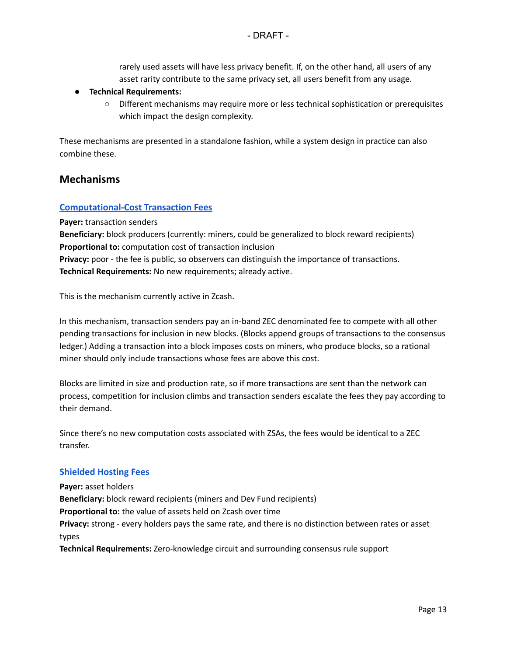rarely used assets will have less privacy benefit. If, on the other hand, all users of any asset rarity contribute to the same privacy set, all users benefit from any usage.

#### **● Technical Requirements:**

○ Different mechanisms may require more or less technical sophistication or prerequisites which impact the design complexity.

These mechanisms are presented in a standalone fashion, while a system design in practice can also combine these.

#### **Mechanisms**

#### <span id="page-12-0"></span>**[Computational-Cost Transaction Fees](#page-5-0)**

**Payer:** transaction senders

**Beneficiary:** block producers (currently: miners, could be generalized to block reward recipients) **Proportional to:** computation cost of transaction inclusion **Privacy:** poor - the fee is public, so observers can distinguish the importance of transactions.

**Technical Requirements:** No new requirements; already active.

This is the mechanism currently active in Zcash.

In this mechanism, transaction senders pay an in-band ZEC denominated fee to compete with all other pending transactions for inclusion in new blocks. (Blocks append groups of transactions to the consensus ledger.) Adding a transaction into a block imposes costs on miners, who produce blocks, so a rational miner should only include transactions whose fees are above this cost.

Blocks are limited in size and production rate, so if more transactions are sent than the network can process, competition for inclusion climbs and transaction senders escalate the fees they pay according to their demand.

Since there's no new computation costs associated with ZSAs, the fees would be identical to a ZEC transfer.

#### <span id="page-12-1"></span>**[Shielded Hosting Fees](#page-6-0)**

**Payer:** asset holders **Beneficiary:** block reward recipients (miners and Dev Fund recipients) **Proportional to:** the value of assets held on Zcash over time **Privacy:** strong - every holders pays the same rate, and there is no distinction between rates or asset types **Technical Requirements:** Zero-knowledge circuit and surrounding consensus rule support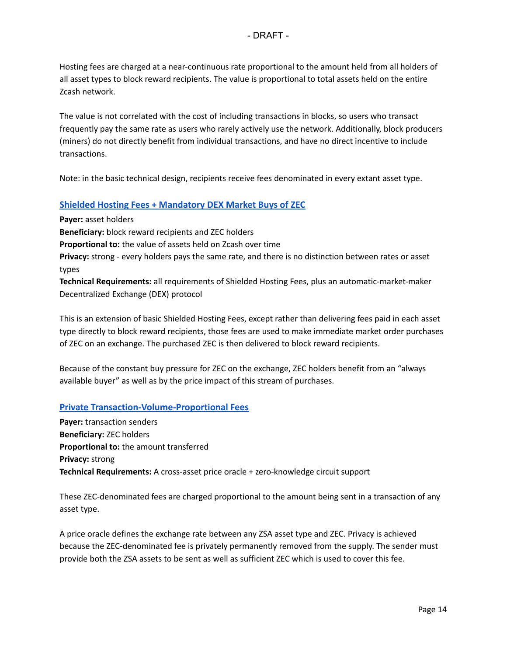Hosting fees are charged at a near-continuous rate proportional to the amount held from all holders of all asset types to block reward recipients. The value is proportional to total assets held on the entire Zcash network.

The value is not correlated with the cost of including transactions in blocks, so users who transact frequently pay the same rate as users who rarely actively use the network. Additionally, block producers (miners) do not directly benefit from individual transactions, and have no direct incentive to include transactions.

<span id="page-13-0"></span>Note: in the basic technical design, recipients receive fees denominated in every extant asset type.

#### **[Shielded Hosting Fees + Mandatory DEX Market Buys of ZEC](#page-7-0)**

**Payer:** asset holders **Beneficiary:** block reward recipients and ZEC holders **Proportional to:** the value of assets held on Zcash over time **Privacy:** strong - every holders pays the same rate, and there is no distinction between rates or asset types **Technical Requirements:** all requirements of Shielded Hosting Fees, plus an automatic-market-maker Decentralized Exchange (DEX) protocol

This is an extension of basic Shielded Hosting Fees, except rather than delivering fees paid in each asset type directly to block reward recipients, those fees are used to make immediate market order purchases of ZEC on an exchange. The purchased ZEC is then delivered to block reward recipients.

Because of the constant buy pressure for ZEC on the exchange, ZEC holders benefit from an "always available buyer" as well as by the price impact of this stream of purchases.

#### <span id="page-13-1"></span>**[Private Transaction-Volume-Proportional Fees](#page-7-1)**

**Payer:** transaction senders **Beneficiary:** ZEC holders **Proportional to:** the amount transferred **Privacy:** strong **Technical Requirements:** A cross-asset price oracle + zero-knowledge circuit support

These ZEC-denominated fees are charged proportional to the amount being sent in a transaction of any asset type.

A price oracle defines the exchange rate between any ZSA asset type and ZEC. Privacy is achieved because the ZEC-denominated fee is privately permanently removed from the supply. The sender must provide both the ZSA assets to be sent as well as sufficient ZEC which is used to cover this fee.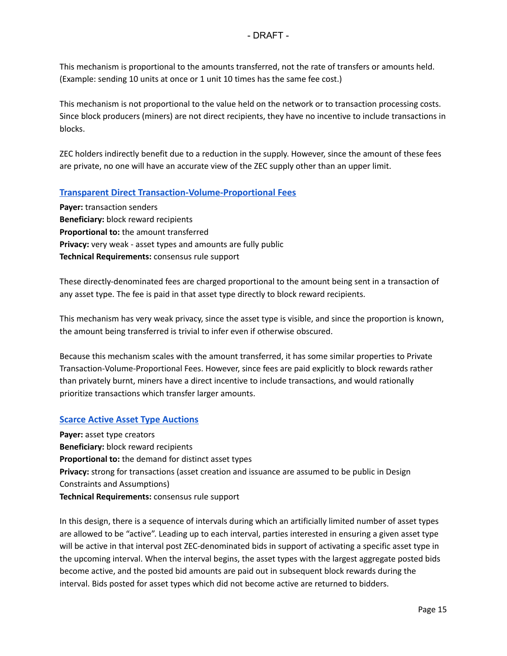- DRAFT -

This mechanism is proportional to the amounts transferred, not the rate of transfers or amounts held. (Example: sending 10 units at once or 1 unit 10 times has the same fee cost.)

This mechanism is not proportional to the value held on the network or to transaction processing costs. Since block producers (miners) are not direct recipients, they have no incentive to include transactions in blocks.

ZEC holders indirectly benefit due to a reduction in the supply. However, since the amount of these fees are private, no one will have an accurate view of the ZEC supply other than an upper limit.

#### <span id="page-14-0"></span>**[Transparent Direct Transaction-Volume-Proportional Fees](#page-8-0)**

**Payer:** transaction senders **Beneficiary:** block reward recipients **Proportional to:** the amount transferred **Privacy:** very weak - asset types and amounts are fully public **Technical Requirements:** consensus rule support

These directly-denominated fees are charged proportional to the amount being sent in a transaction of any asset type. The fee is paid in that asset type directly to block reward recipients.

This mechanism has very weak privacy, since the asset type is visible, and since the proportion is known, the amount being transferred is trivial to infer even if otherwise obscured.

Because this mechanism scales with the amount transferred, it has some similar properties to Private Transaction-Volume-Proportional Fees. However, since fees are paid explicitly to block rewards rather than privately burnt, miners have a direct incentive to include transactions, and would rationally prioritize transactions which transfer larger amounts.

#### <span id="page-14-1"></span>**[Scarce Active Asset Type Auctions](#page-8-1)**

**Payer:** asset type creators **Beneficiary:** block reward recipients **Proportional to:** the demand for distinct asset types **Privacy:** strong for transactions (asset creation and issuance are assumed to be public in Design Constraints and Assumptions) **Technical Requirements:** consensus rule support

In this design, there is a sequence of intervals during which an artificially limited number of asset types are allowed to be "active". Leading up to each interval, parties interested in ensuring a given asset type will be active in that interval post ZEC-denominated bids in support of activating a specific asset type in the upcoming interval. When the interval begins, the asset types with the largest aggregate posted bids become active, and the posted bid amounts are paid out in subsequent block rewards during the interval. Bids posted for asset types which did not become active are returned to bidders.